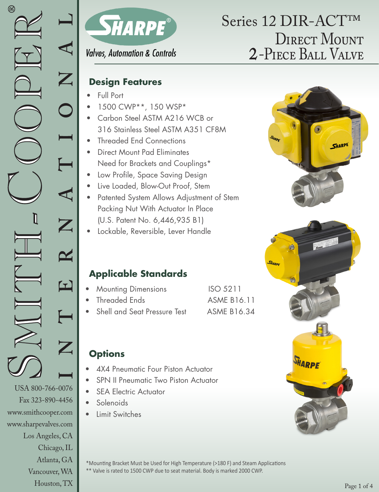www.smithcooper.com www.sharpevalves.com

Los Angeles, CA

Chicago, IL Atlanta, GA Vancouver, WA Houston, TX



# DIRECT MOUNT 2-Piece Ball Valve Series 12 DIR-ACT™

### **Valves, Automation & Controls**

### **Design Features**

- Full Port
- 1500 CWP\*\*, 150 WSP\*
- Carbon Steel ASTM A216 WCB or 316 Stainless Steel ASTM A351 CF8M
- Threaded End Connections
- Direct Mount Pad Eliminates Need for Brackets and Couplings\*
- Low Profile, Space Saving Design
- Live Loaded, Blow-Out Proof, Stem
- Patented System Allows Adjustment of Stem Packing Nut With Actuator In Place (U.S. Patent No. 6,446,935 B1)
- Lockable, Reversible, Lever Handle





### **Applicable Standards**

- **Mounting Dimensions** ISO 5211
- Threaded Ends **ASME B16.11**
- Shell and Seat Pressure Test ASME B16.34

## **Options**

- 4X4 Pneumatic Four Piston Actuator
- SPN II Pneumatic Two Piston Actuator
- **SEA Electric Actuator**
- Solenoids
- Limit Switches

\*Mounting Bracket Must be Used for High Temperature (>180 F) and Steam Applications \*\* Valve is rated to 1500 CWP due to seat material. Body is marked 2000 CWP.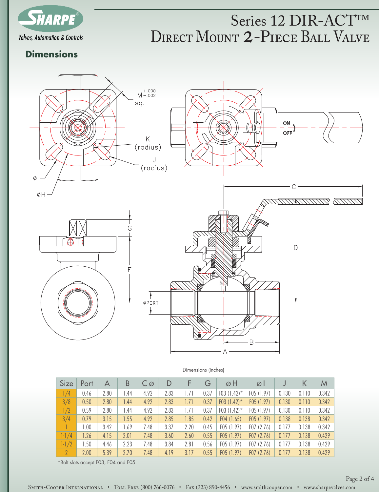

# DIRECT MOUNT 2-PIECE BALL VALVE Series 12 DIR-ACT™

#### **Dimensions**



| <b>Size</b> | Port | А    | B    | $C\varnothing$ | D    | F    | G    | øΗ             | ØΙ         |       | K     | M     |
|-------------|------|------|------|----------------|------|------|------|----------------|------------|-------|-------|-------|
| 1/4         | 0.46 | 2.80 | 1.44 | 4.92           | 2.83 | 1.71 | 0.37 | F03 $(1.42)^*$ | F05 (1.97) | 0.130 | 0.110 | 0.342 |
| 3/8         | 0.50 | 2.80 | 1.44 | 4.92           | 2.83 | 1.71 | 0.37 | F03 $(1.42)^*$ | F05(1.97)  | 0.130 | 0.110 | 0.342 |
| 1/2         | 0.59 | 2.80 | 1.44 | 4.92           | 2.83 | 1.71 | 0.37 | F03 $(1.42)^*$ | F05(1.97)  | 0.130 | 0.110 | 0.342 |
| 3/4         | 0.79 | 3.15 | 1.55 | 4.92           | 2.85 | 1.85 | 0.42 | F04(1.65)      | F05(1.97)  | 0.138 | 0.138 | 0.342 |
|             | 1.00 | 3.42 | 1.69 | 7.48           | 3.37 | 2.20 | 0.45 | F05(1.97)      | F07(2.76)  | 0.177 | 0.138 | 0.342 |
| $1-1/4$     | 1.26 | 4.15 | 2.01 | 7.48           | 3.60 | 2.60 | 0.55 | F05(1.97)      | F07(2.76)  | 0.177 | 0.138 | 0.429 |
| $1 - 1/2$   | 1.50 | 4.46 | 2.23 | 7.48           | 3.84 | 2.81 | 0.56 | F05(1.97)      | F07(2.76)  | 0.177 | 0.138 | 0.429 |
| $\gamma$    | 2.00 | 5.39 | 2.70 | 7.48           | 4.19 | 3.17 | 0.55 | F05(1.97)      | F07(2.76)  | 0.177 | 0.138 | 0.429 |

\*Bolt slots accept F03, F04 and F05

#### Dimensions (Inches)

Smith-Cooper International • Toll Free (800) 766-0076 • Fax (323) 890-4456 • www.smithcooper.com • www.sharpevalves.com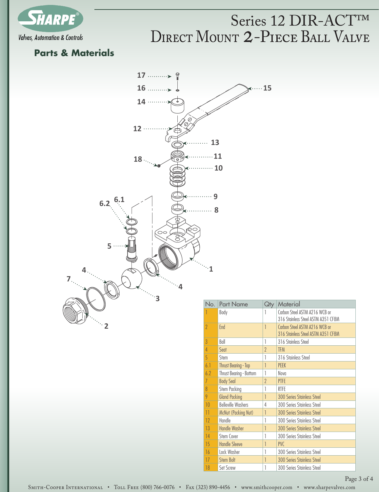

## DIRECT MOUNT 2-PIECE BALL VALVE Series 12 DIR-ACT™

#### **Parts & Materials**



| No.             | <b>Part Name</b>            | Qty      | Material                                                            |
|-----------------|-----------------------------|----------|---------------------------------------------------------------------|
|                 | Body                        | 1        | Carbon Steel ASTM A216 WCB or<br>316 Stainless Steel ASTM A351 CF8M |
| $\gamma$        | End                         | 1        | Carbon Steel ASTM A216 WCB or<br>316 Stainless Steel ASTM A351 CF8M |
| $\overline{3}$  | Ball                        |          | 316 Stainless Steel                                                 |
| 4               | Seat                        | $\gamma$ | <b>TFM</b>                                                          |
| 5               | Stem                        |          | 316 Stainless Steel                                                 |
| 6.1             | <b>Thrust Bearing - Top</b> | 1        | <b>PFFK</b>                                                         |
| 6.2             | Thrust Bearing - Bottom     |          | Nova                                                                |
| 7               | <b>Body Seal</b>            | $\gamma$ | <b>PTFE</b>                                                         |
| $\overline{8}$  | Stem Packing                |          | <b>RTFE</b>                                                         |
| 9               | <b>Gland Packing</b>        | 1        | <b>300 Series Stainless Steel</b>                                   |
| 10              | <b>Belleville Washers</b>   | 4        | 300 Series Stainless Steel                                          |
| $\overline{11}$ | McNut (Packing Nut)         | 1        | <b>300 Series Stainless Steel</b>                                   |
| 12              | Handle                      |          | 300 Series Stainless Steel                                          |
| 13              | <b>Handle Washer</b>        | 1        | <b>300 Series Stainless Steel</b>                                   |
| 14              | Stem Cover                  | 1        | 300 Series Stainless Steel                                          |
| 15              | <b>Handle Sleeve</b>        | 1        | <b>PVC</b>                                                          |
| 16              | Lock Washer                 | 1        | 300 Series Stainless Steel                                          |
| 17              | <b>Stem Bolt</b>            | 1        | <b>300 Series Stainless Steel</b>                                   |
| 18              | <b>Set Screw</b>            |          | 300 Series Stainless Steel                                          |

Page 3 of 4